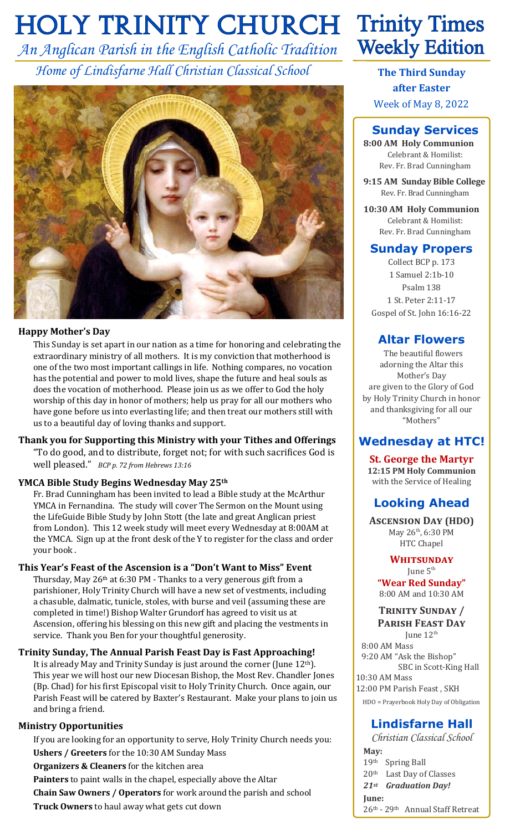# **HOLY TRINITY CHURCH Trinity Times**

*An Anglican Parish in the English Catholic Tradition Home of Lindisfarne Hall Christian Classical School*



#### **Happy Mother's Day**

This Sunday is set apart in our nation as a time for honoring and celebrating the extraordinary ministry of all mothers. It is my conviction that motherhood is one of the two most important callings in life. Nothing compares, no vocation has the potential and power to mold lives, shape the future and heal souls as does the vocation of motherhood. Please join us as we offer to God the holy worship of this day in honor of mothers; help us pray for all our mothers who have gone before us into everlasting life; and then treat our mothers still with us to a beautiful day of loving thanks and support.

**Thank you for Supporting this Ministry with your Tithes and Offerings** "To do good, and to distribute, forget not; for with such sacrifices God is well pleased." *BCP p. 72 from Hebrews 13:16*

#### **YMCA Bible Study Begins Wednesday May 25th**

Fr. Brad Cunningham has been invited to lead a Bible study at the McArthur YMCA in Fernandina. The study will cover The Sermon on the Mount using the LifeGuide Bible Study by John Stott (the late and great Anglican priest from London). This 12 week study will meet every Wednesday at 8:00AM at the YMCA. Sign up at the front desk of the Y to register for the class and order your book .

#### **This Year's Feast of the Ascension is a "Don't Want to Miss" Event**

Thursday, May 26<sup>th</sup> at 6:30 PM - Thanks to a very generous gift from a parishioner, Holy Trinity Church will have a new set of vestments, including a chasuble, dalmatic, tunicle, stoles, with burse and veil (assuming these are completed in time!) Bishop Walter Grundorf has agreed to visit us at Ascension, offering his blessing on this new gift and placing the vestments in service. Thank you Ben for your thoughtful generosity.

**Trinity Sunday, The Annual Parish Feast Day is Fast Approaching!**

It is already May and Trinity Sunday is just around the corner (June 12th). This year we will host our new Diocesan Bishop, the Most Rev. Chandler Jones (Bp. Chad) for his first Episcopal visit to Holy Trinity Church. Once again, our Parish Feast will be catered by Baxter's Restaurant. Make your plans to join us and bring a friend.

#### **Ministry Opportunities**

If you are looking for an opportunity to serve, Holy Trinity Church needs you: **Ushers / Greeters** for the 10:30 AM Sunday Mass **Organizers & Cleaners** for the kitchen area **Painters** to paint walls in the chapel, especially above the Altar **Chain Saw Owners / Operators** for work around the parish and school **Truck Owners** to haul away what gets cut down

# **Weekly Edition**

**The Third Sunday after Easter** Week of May 8, 2022

# **Sunday Services**

**8:00 AM Holy Communion** Celebrant & Homilist: Rev. Fr. Brad Cunningham

**9:15 AM Sunday Bible College** Rev. Fr. Brad Cunningham

**10:30 AM Holy Communion** Celebrant & Homilist: Rev. Fr. Brad Cunningham

## **Sunday Propers**

Collect BCP p. 173 1 Samuel 2:1b-10 Psalm 138 1 St. Peter 2:11-17 Gospel of St. John 16:16-22

# **Altar Flowers**

 The beautiful flowers adorning the Altar this Mother's Day are given to the Glory of God by Holy Trinity Church in honor and thanksgiving for all our "Mothers"

# **Wednesday at HTC!**

**St. George the Martyr 12:15 PM Holy Communion** with the Service of Healing

# **Looking Ahead**

**Ascension Day (HDO)** May 26<sup>th</sup>, 6:30 PM HTC Chapel

**Whitsunday** June  $5<sup>th</sup>$ **"Wear Red Sunday"** 8:00 AM and 10:30 AM

### **Trinity Sunday / Parish Feast Day**

June  $12<sup>th</sup>$  8:00 AM Mass 9:20 AM "Ask the Bishop" SBC in Scott-King Hall 10:30 AM Mass 12:00 PM Parish Feast , SKH HDO = Prayerbook Holy Day of Obligation

# **Lindisfarne Hall**

*Christian Classical School* **May:** 19th Spring Ball 20th Last Day of Classes *21st Graduation Day!*  **June:** 26th - 29th Annual Staff Retreat